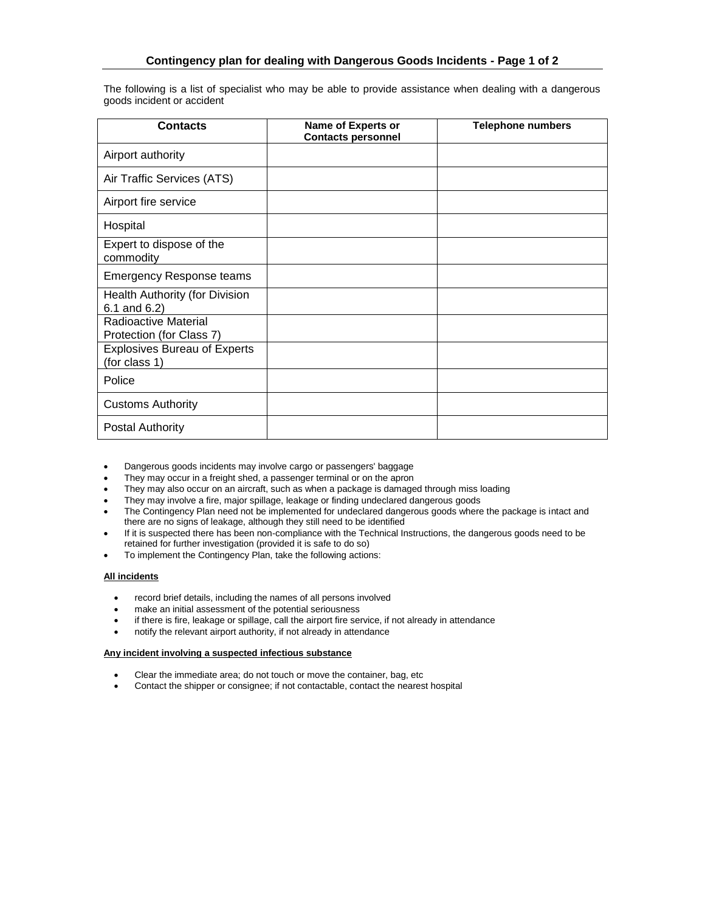The following is a list of specialist who may be able to provide assistance when dealing with a dangerous goods incident or accident

| <b>Contacts</b>                                      | Name of Experts or<br><b>Contacts personnel</b> | <b>Telephone numbers</b> |
|------------------------------------------------------|-------------------------------------------------|--------------------------|
| Airport authority                                    |                                                 |                          |
| Air Traffic Services (ATS)                           |                                                 |                          |
| Airport fire service                                 |                                                 |                          |
| Hospital                                             |                                                 |                          |
| Expert to dispose of the<br>commodity                |                                                 |                          |
| <b>Emergency Response teams</b>                      |                                                 |                          |
| Health Authority (for Division<br>6.1 and 6.2)       |                                                 |                          |
| Radioactive Material<br>Protection (for Class 7)     |                                                 |                          |
| <b>Explosives Bureau of Experts</b><br>(for class 1) |                                                 |                          |
| Police                                               |                                                 |                          |
| <b>Customs Authority</b>                             |                                                 |                          |
| <b>Postal Authority</b>                              |                                                 |                          |

- Dangerous goods incidents may involve cargo or passengers' baggage
- They may occur in a freight shed, a passenger terminal or on the apron
- They may also occur on an aircraft, such as when a package is damaged through miss loading
- They may involve a fire, major spillage, leakage or finding undeclared dangerous goods
- The Contingency Plan need not be implemented for undeclared dangerous goods where the package is intact and there are no signs of leakage, although they still need to be identified
- If it is suspected there has been non-compliance with the Technical Instructions, the dangerous goods need to be retained for further investigation (provided it is safe to do so)
- To implement the Contingency Plan, take the following actions:

## **All incidents**

- record brief details, including the names of all persons involved
- make an initial assessment of the potential seriousness
- if there is fire, leakage or spillage, call the airport fire service, if not already in attendance
- notify the relevant airport authority, if not already in attendance

#### **Any incident involving a suspected infectious substance**

- Clear the immediate area; do not touch or move the container, bag, etc
- Contact the shipper or consignee; if not contactable, contact the nearest hospital